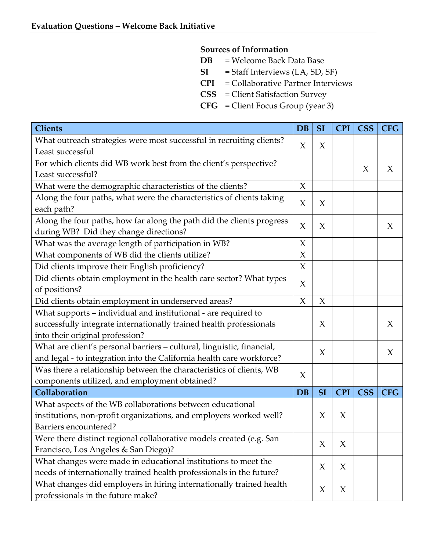## **Sources of Information**

- **DB** = Welcome Back Data Base
- **SI** = Staff Interviews (LA, SD, SF)
- **CPI** = Collaborative Partner Interviews
- **CSS** = Client Satisfaction Survey
- **CFG** = Client Focus Group (year 3)

| <b>Clients</b>                                                         | <b>DB</b> | <b>SI</b> | <b>CPI</b> | <b>CSS</b> | <b>CFG</b> |
|------------------------------------------------------------------------|-----------|-----------|------------|------------|------------|
| What outreach strategies were most successful in recruiting clients?   | $\chi$    | $\chi$    |            |            |            |
| Least successful                                                       |           |           |            |            |            |
| For which clients did WB work best from the client's perspective?      |           |           |            | X          | $\chi$     |
| Least successful?                                                      |           |           |            |            |            |
| What were the demographic characteristics of the clients?              | X         |           |            |            |            |
| Along the four paths, what were the characteristics of clients taking  | $\chi$    | X         |            |            |            |
| each path?                                                             |           |           |            |            |            |
| Along the four paths, how far along the path did the clients progress  | $\chi$    | $\chi$    |            |            | X          |
| during WB? Did they change directions?                                 |           |           |            |            |            |
| What was the average length of participation in WB?                    | X         |           |            |            |            |
| What components of WB did the clients utilize?                         | $\chi$    |           |            |            |            |
| Did clients improve their English proficiency?                         | $\chi$    |           |            |            |            |
| Did clients obtain employment in the health care sector? What types    | $\chi$    |           |            |            |            |
| of positions?                                                          |           |           |            |            |            |
| Did clients obtain employment in underserved areas?                    | $\chi$    | $\chi$    |            |            |            |
| What supports - individual and institutional - are required to         |           |           |            |            |            |
| successfully integrate internationally trained health professionals    |           | X         |            |            | X          |
| into their original profession?                                        |           |           |            |            |            |
| What are client's personal barriers - cultural, linguistic, financial, |           | $\chi$    |            |            | $\chi$     |
| and legal - to integration into the California health care workforce?  |           |           |            |            |            |
| Was there a relationship between the characteristics of clients, WB    | X         |           |            |            |            |
| components utilized, and employment obtained?                          |           |           |            |            |            |
| Collaboration                                                          | <b>DB</b> | <b>SI</b> | <b>CPI</b> | <b>CSS</b> | <b>CFG</b> |
| What aspects of the WB collaborations between educational              |           |           |            |            |            |
| institutions, non-profit organizations, and employers worked well?     |           | $\chi$    | $\chi$     |            |            |
| Barriers encountered?                                                  |           |           |            |            |            |
| Were there distinct regional collaborative models created (e.g. San    |           | $\chi$    | X          |            |            |
| Francisco, Los Angeles & San Diego)?                                   |           |           |            |            |            |
| What changes were made in educational institutions to meet the         |           | $\chi$    | X          |            |            |
| needs of internationally trained health professionals in the future?   |           |           |            |            |            |
| What changes did employers in hiring internationally trained health    |           | X         | X          |            |            |
| professionals in the future make?                                      |           |           |            |            |            |